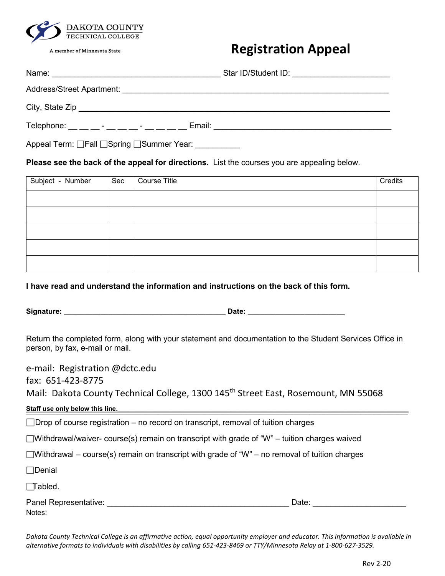

A member of Minnesota State

## **Registration Appeal**

| Name:<br><u> 1980 - Jan Stein Harry Harry Harry Harry Harry Harry Harry Harry Harry Harry Harry Harry Harry Harry Harry</u> | Star ID/Student ID:<br><u> 1980 - Jan Stein Berlin, amerikan bisa per</u> |
|-----------------------------------------------------------------------------------------------------------------------------|---------------------------------------------------------------------------|
| <b>Address/Street Apartment:</b>                                                                                            |                                                                           |
|                                                                                                                             |                                                                           |
| Telephone: _ _ _ - _ _ _ - _ - _ _ _<br>Email:                                                                              |                                                                           |

Appeal Term:  $\Box$  Fall  $\Box$  Spring  $\Box$  Summer Year:

**Please see the back of the appeal for directions.** List the courses you are appealing below.

| Subject - Number | Sec | Course Title | Credits |
|------------------|-----|--------------|---------|
|                  |     |              |         |
|                  |     |              |         |
|                  |     |              |         |
|                  |     |              |         |
|                  |     |              |         |

**I have read and understand the information and instructions on the back of this form.** 

**Signature: \_\_\_\_\_\_\_\_\_\_\_\_\_\_\_\_\_\_\_\_\_\_\_\_\_\_\_\_\_\_\_\_\_\_\_\_\_\_\_\_ Date: \_\_\_\_\_\_\_\_\_\_\_\_\_\_\_\_\_\_\_\_\_\_\_\_** 

Notes:

Return the completed form, along with your statement and documentation to the Student Services Office in person, by fax, e-mail or mail.

e-mail: Registration @dctc.edu fax: 651-423-8775 Mail: Dakota County Technical College, 1300 145<sup>th</sup> Street East, Rosemount, MN 55068 **Staff use only below this line.** \_\_\_\_\_\_\_\_\_\_\_\_\_\_\_\_\_\_\_\_\_\_\_\_\_\_\_\_\_\_\_\_\_\_\_\_\_\_\_\_\_\_\_\_\_\_\_\_\_\_\_\_\_\_\_\_\_\_\_\_\_\_\_\_\_\_\_\_\_\_\_\_\_\_\_\_\_\_\_\_\_\_\_\_\_\_\_\_\_\_\_\_\_\_\_\_\_\_\_\_\_\_\_\_\_\_\_\_\_\_\_\_\_\_\_\_\_\_\_\_\_\_\_\_\_\_\_\_\_\_\_\_\_\_\_\_\_\_\_\_\_\_\_\_\_\_\_\_\_\_\_\_\_\_\_\_\_\_\_\_\_\_\_\_\_\_\_\_\_\_\_\_\_\_\_\_\_\_\_\_\_\_\_\_\_\_\_\_\_\_\_\_\_\_\_\_\_\_\_\_\_\_\_\_\_\_\_\_\_\_\_\_\_\_\_\_\_\_\_\_\_\_\_\_\_\_\_\_\_\_\_\_\_\_\_\_\_\_\_\_\_\_\_\_\_\_\_\_\_\_\_\_\_\_\_\_\_\_\_\_\_\_\_\_\_\_\_\_\_\_\_\_\_\_\_\_\_\_\_\_\_\_\_\_\_\_\_\_\_\_\_\_\_\_\_\_\_\_\_\_\_\_\_\_\_\_\_\_\_\_\_\_\_\_\_  $\Box$ Drop of course registration – no record on transcript, removal of tuition charges  $\Box$ Withdrawal/waiver- course(s) remain on transcript with grade of "W" – tuition charges waived  $\Box$ Withdrawal – course(s) remain on transcript with grade of "W" – no removal of tuition charges  $\Box$ Denial Tabled. Panel Representative: etc. and the state of the state of the state of the Date:  $\Box$ 

*Dakota County Technical College is an affirmative action, equal opportunity employer and educator. This information is available in alternative formats to individuals with disabilities by calling 651-423-8469 or TTY/Minnesota Relay at 1-800-627-3529.*